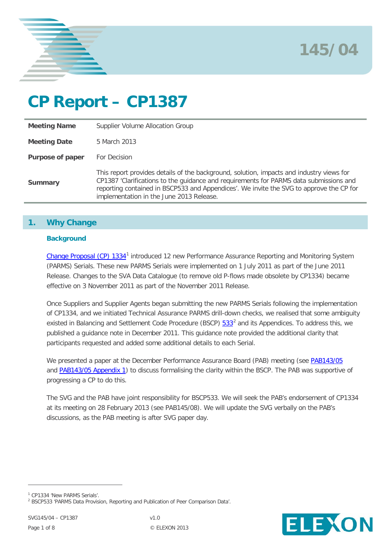



# **CP Report – CP1387**

| <b>Meeting Name</b> | Supplier Volume Allocation Group                                                                                                                                                                                                                                                                                          |
|---------------------|---------------------------------------------------------------------------------------------------------------------------------------------------------------------------------------------------------------------------------------------------------------------------------------------------------------------------|
| <b>Meeting Date</b> | 5 March 2013                                                                                                                                                                                                                                                                                                              |
| Purpose of paper    | For Decision                                                                                                                                                                                                                                                                                                              |
| <b>Summary</b>      | This report provides details of the background, solution, impacts and industry views for<br>CP1387 'Clarifications to the guidance and requirements for PARMS data submissions and<br>reporting contained in BSCP533 and Appendices'. We invite the SVG to approve the CP for<br>implementation in the June 2013 Release. |

# **1. Why Change**

## **Background**

[Change Proposal \(CP\) 1334](http://www.elexon.co.uk/change-proposal/cp1334-new-parms-serials/)[1](#page-0-0) introduced 12 new Performance Assurance Reporting and Monitoring System (PARMS) Serials. These new PARMS Serials were implemented on 1 July 2011 as part of the June 2011 Release. Changes to the SVA Data Catalogue (to remove old P-flows made obsolete by CP1334) became effective on 3 November 2011 as part of the November 2011 Release.

Once Suppliers and Supplier Agents began submitting the new PARMS Serials following the implementation of CP1334, and we initiated Technical Assurance PARMS drill-down checks, we realised that some ambiguity existed in Balancing and Settlement Code Procedure (BSCP) [533](http://www.elexon.co.uk/bsc-related-documents/related-documents/bscps)<sup>[2](#page-0-1)</sup> and its Appendices. To address this, we published a guidance note in December 2011. This guidance note provided the additional clarity that participants requested and added some additional details to each Serial.

We presented a paper at the December Performance Assurance Board (PAB) meeting (see [PAB143/05](http://www.elexon.co.uk/wp-content/uploads/2012/04/PAB143_05_PARMS-CP-v1.0.pdf) and [PAB143/05 Appendix 1\)](http://www.elexon.co.uk/wp-content/uploads/2012/04/PAB143_05A_Appx_1-v1.0.pdf) to discuss formalising the clarity within the BSCP. The PAB was supportive of progressing a CP to do this.

The SVG and the PAB have joint responsibility for BSCP533. We will seek the PAB's endorsement of CP1334 at its meeting on 28 February 2013 (see PAB145/08). We will update the SVG verbally on the PAB's discussions, as the PAB meeting is after SVG paper day.



<span id="page-0-0"></span><sup>1</sup> CP1334 'New PARMS Serials'.

<span id="page-0-1"></span><sup>2</sup> BSCP533 'PARMS Data Provision, Reporting and Publication of Peer Comparison Data'.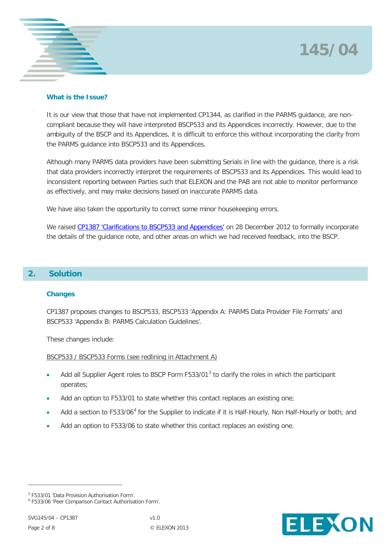# **145/04**



# **What is the Issue?**

It is our view that those that have not implemented CP1344, as clarified in the PARMS guidance, are noncompliant because they will have interpreted BSCP533 and its Appendices incorrectly. However, due to the ambiguity of the BSCP and its Appendices, it is difficult to enforce this without incorporating the clarity from the PARMS guidance into BSCP533 and its Appendices.

Although many PARMS data providers have been submitting Serials in line with the guidance, there is a risk that data providers incorrectly interpret the requirements of BSCP533 and its Appendices. This would lead to inconsistent reporting between Parties such that ELEXON and the PAB are not able to monitor performance as effectively, and may make decisions based on inaccurate PARMS data.

We have also taken the opportunity to correct some minor housekeeping errors.

We raised [CP1387 'Clarifications to BSCP533 and Appendices'](http://www.elexon.co.uk/change-proposal/cp1387/) on 28 December 2012 to formally incorporate the details of the guidance note, and other areas on which we had received feedback, into the BSCP.

# **2. Solution**

# **Changes**

CP1387 proposes changes to BSCP533, BSCP533 'Appendix A: PARMS Data Provider File Formats' and BSCP533 'Appendix B: PARMS Calculation Guidelines'.

These changes include:

BSCP533 / BSCP533 Forms (see redlining in Attachment A)

- Add all Supplier Agent roles to BSCP Form F5[3](#page-0-0)3/01<sup>3</sup> to clarify the roles in which the participant operates;
- Add an option to F533/01 to state whether this contact replaces an existing one;
- Add a section to F533/06<sup>[4](#page-1-0)</sup> for the Supplier to indicate if it is Half-Hourly, Non Half-Hourly or both; and
- Add an option to F533/06 to state whether this contact replaces an existing one.



<span id="page-1-1"></span><sup>3</sup> F533/01 'Data Provision Authorisation Form'.

<span id="page-1-0"></span><sup>4</sup> F533/06 'Peer Comparison Contact Authorisation Form'.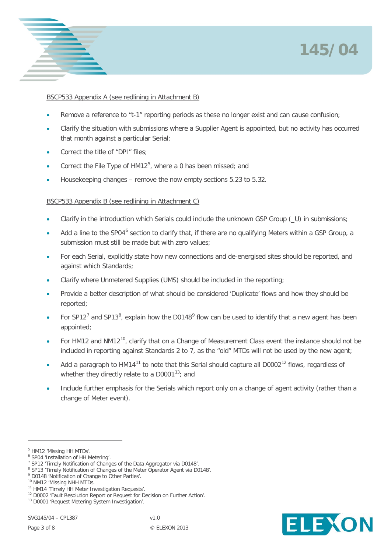# **145/04**



# BSCP533 Appendix A (see redlining in Attachment B)

- Remove a reference to "t-1" reporting periods as these no longer exist and can cause confusion;
- Clarify the situation with submissions where a Supplier Agent is appointed, but no activity has occurred that month against a particular Serial;
- Correct the title of "DPI" files:
- Correct the File Type of  $HM12^5$  $HM12^5$ , where a 0 has been missed; and
- Housekeeping changes remove the now empty sections 5.23 to 5.32.

# BSCP533 Appendix B (see redlining in Attachment C)

- Clarify in the introduction which Serials could include the unknown GSP Group (\_U) in submissions;
- Add a line to the SP04<sup>[6](#page-2-0)</sup> section to clarify that, if there are no qualifying Meters within a GSP Group, a submission must still be made but with zero values;
- For each Serial, explicitly state how new connections and de-energised sites should be reported, and against which Standards;
- Clarify where Unmetered Supplies (UMS) should be included in the reporting;
- Provide a better description of what should be considered 'Duplicate' flows and how they should be reported;
- For SP12<sup>[7](#page-2-1)</sup> and SP13<sup>[8](#page-2-2)</sup>, explain how the D0148<sup>[9](#page-2-3)</sup> flow can be used to identify that a new agent has been appointed;
- For HM12 and NM12<sup>[10](#page-2-4)</sup>, clarify that on a Change of Measurement Class event the instance should not be included in reporting against Standards 2 to 7, as the "old" MTDs will not be used by the new agent;
- Add a paragraph to HM14<sup>[11](#page-2-5)</sup> to note that this Serial should capture all D0002<sup>[12](#page-2-6)</sup> flows, regardless of whether they directly relate to a  $D0001^{13}$  $D0001^{13}$  $D0001^{13}$ ; and
- Include further emphasis for the Serials which report only on a change of agent activity (rather than a change of Meter event).

 $\overline{a}$ 

<span id="page-2-3"></span><sup>9</sup> D0148 'Notification of Change to Other Parties'.



<sup>5</sup> HM12 'Missing HH MTDs'.

<span id="page-2-0"></span><sup>6</sup> SP04 'Installation of HH Metering'.

<span id="page-2-1"></span><sup>7</sup> SP12 'Timely Notification of Changes of the Data Aggregator via D0148'.

<span id="page-2-2"></span><sup>8</sup> SP13 'Timely Notification of Changes of the Meter Operator Agent via D0148'.

<span id="page-2-4"></span><sup>10</sup> NM12 'Missing NHH MTDs.

<span id="page-2-8"></span><span id="page-2-5"></span><sup>11</sup> HM14 'Timely HH Meter Investigation Requests'.

<span id="page-2-6"></span><sup>&</sup>lt;sup>12</sup> D0002 'Fault Resolution Report or Request for Decision on Further Action'.

<span id="page-2-7"></span><sup>&</sup>lt;sup>13</sup> D0001 'Request Metering System Investigation'.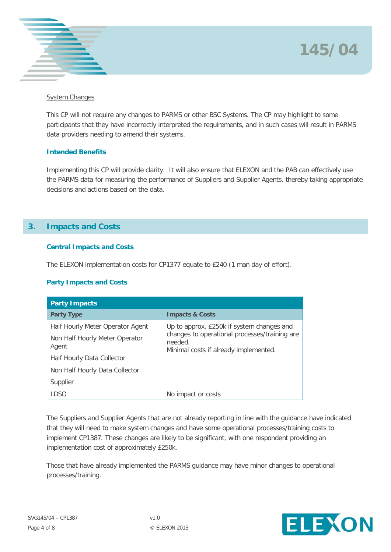



### System Changes

This CP will not require any changes to PARMS or other BSC Systems. The CP may highlight to some participants that they have incorrectly interpreted the requirements, and in such cases will result in PARMS data providers needing to amend their systems.

## **Intended Benefits**

Implementing this CP will provide clarity. It will also ensure that ELEXON and the PAB can effectively use the PARMS data for measuring the performance of Suppliers and Supplier Agents, thereby taking appropriate decisions and actions based on the data.

# **3. Impacts and Costs**

## **Central Impacts and Costs**

The ELEXON implementation costs for CP1377 equate to £240 (1 man day of effort).

# **Party Impacts and Costs**

| <b>Party Impacts</b>                    |                                                                                                                                                |  |  |  |
|-----------------------------------------|------------------------------------------------------------------------------------------------------------------------------------------------|--|--|--|
| <b>Party Type</b>                       | <b>Impacts &amp; Costs</b>                                                                                                                     |  |  |  |
| Half Hourly Meter Operator Agent        | Up to approx. £250k if system changes and<br>changes to operational processes/training are<br>needed.<br>Minimal costs if already implemented. |  |  |  |
| Non Half Hourly Meter Operator<br>Agent |                                                                                                                                                |  |  |  |
| Half Hourly Data Collector              |                                                                                                                                                |  |  |  |
| Non Half Hourly Data Collector          |                                                                                                                                                |  |  |  |
| Supplier                                |                                                                                                                                                |  |  |  |
| <b>LDSO</b>                             | No impact or costs                                                                                                                             |  |  |  |

The Suppliers and Supplier Agents that are not already reporting in line with the guidance have indicated that they will need to make system changes and have some operational processes/training costs to implement CP1387. These changes are likely to be significant, with one respondent providing an implementation cost of approximately £250k.

Those that have already implemented the PARMS guidance may have minor changes to operational processes/training.

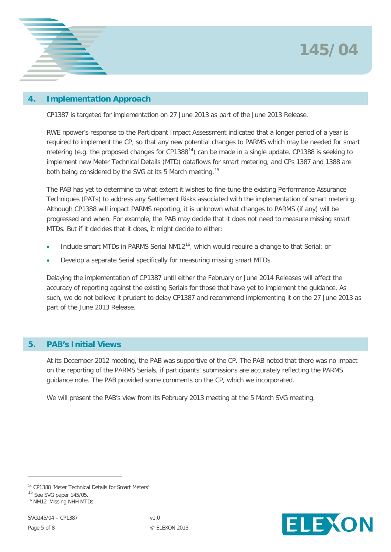

# **4. Implementation Approach**

CP1387 is targeted for implementation on 27 June 2013 as part of the June 2013 Release.

RWE npower's response to the Participant Impact Assessment indicated that a longer period of a year is required to implement the CP, so that any new potential changes to PARMS which may be needed for smart metering (e.g. the proposed changes for CP1388<sup>[14](#page-2-8)</sup>) can be made in a single update. CP1388 is seeking to implement new Meter Technical Details (MTD) dataflows for smart metering, and CPs 1387 and 1388 are both being considered by the SVG at its 5 March meeting.<sup>[15](#page-4-0)</sup>

The PAB has yet to determine to what extent it wishes to fine-tune the existing Performance Assurance Techniques (PATs) to address any Settlement Risks associated with the implementation of smart metering. Although CP1388 will impact PARMS reporting, it is unknown what changes to PARMS (if any) will be progressed and when. For example, the PAB may decide that it does not need to measure missing smart MTDs. But if it decides that it does, it might decide to either:

- Include smart MTDs in PARMS Serial NM12<sup>[16](#page-4-1)</sup>, which would require a change to that Serial; or
- Develop a separate Serial specifically for measuring missing smart MTDs.

Delaying the implementation of CP1387 until either the February or June 2014 Releases will affect the accuracy of reporting against the existing Serials for those that have yet to implement the guidance. As such, we do not believe it prudent to delay CP1387 and recommend implementing it on the 27 June 2013 as part of the June 2013 Release.

# **5. PAB's Initial Views**

At its December 2012 meeting, the PAB was supportive of the CP. The PAB noted that there was no impact on the reporting of the PARMS Serials, if participants' submissions are accurately reflecting the PARMS guidance note. The PAB provided some comments on the CP, which we incorporated.

We will present the PAB's view from its February 2013 meeting at the 5 March SVG meeting.



<span id="page-4-2"></span><sup>14</sup> CP1388 'Meter Technical Details for Smart Meters'

<span id="page-4-0"></span><sup>&</sup>lt;sup>15</sup> See SVG paper 145/05.

<span id="page-4-1"></span><sup>16</sup> NM12 'Missing NHH MTDs'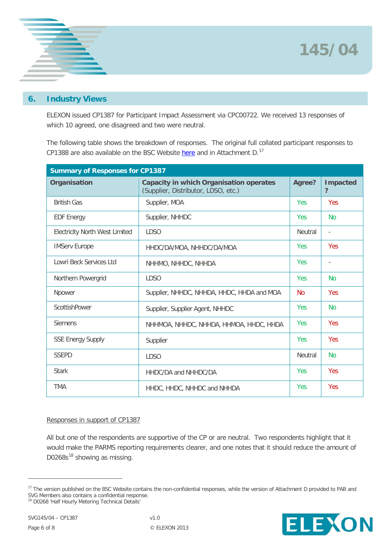



# **6. Industry Views**

ELEXON issued CP1387 for Participant Impact Assessment via CPC00722. We received 13 responses of which 10 agreed, one disagreed and two were neutral.

The following table shows the breakdown of responses. The original full collated participant responses to CP1388 are also available on the BSC Website [here](http://www.elexon.co.uk/wp-content/uploads/2011/10/bscp533_appx_a_v16.0.pdf) and in Attachment D.<sup>[17](#page-4-2)</sup>

| <b>Summary of Responses for CP1387</b> |                                                                                       |                |                          |  |  |  |
|----------------------------------------|---------------------------------------------------------------------------------------|----------------|--------------------------|--|--|--|
| Organisation                           | <b>Capacity in which Organisation operates</b><br>(Supplier, Distributor, LDSO, etc.) | Agree?         | <b>Impacted</b><br>?     |  |  |  |
| <b>British Gas</b>                     | Supplier, MOA                                                                         | Yes            | <b>Yes</b>               |  |  |  |
| <b>EDF Energy</b>                      | Supplier, NHHDC                                                                       | Yes.           | <b>No</b>                |  |  |  |
| <b>Electricity North West Limited</b>  | <b>LDSO</b>                                                                           | <b>Neutral</b> | $\overline{\phantom{a}}$ |  |  |  |
| <b>IMServ Europe</b>                   | HHDC/DA/MOA, NHHDC/DA/MOA                                                             | <b>Yes</b>     | <b>Yes</b>               |  |  |  |
| Lowri Beck Services Ltd                | NHHMO, NHHDC, NHHDA                                                                   | <b>Yes</b>     | $\overline{\phantom{a}}$ |  |  |  |
| Northern Powergrid                     | <b>LDSO</b>                                                                           | <b>Yes</b>     | <b>No</b>                |  |  |  |
| Npower                                 | Supplier, NHHDC, NHHDA, HHDC, HHDA and MOA                                            | <b>No</b>      | <b>Yes</b>               |  |  |  |
| ScottishPower                          | Supplier, Supplier Agent, NHHDC                                                       | <b>Yes</b>     | <b>No</b>                |  |  |  |
| <b>Siemens</b>                         | NHHMOA, NHHDC, NHHDA, HHMOA, HHDC, HHDA                                               | <b>Yes</b>     | <b>Yes</b>               |  |  |  |
| <b>SSE Energy Supply</b>               | Supplier                                                                              | <b>Yes</b>     | <b>Yes</b>               |  |  |  |
| <b>SSEPD</b>                           | <b>LDSO</b>                                                                           | <b>Neutral</b> | <b>No</b>                |  |  |  |
| <b>Stark</b>                           | HHDC/DA and NHHDC/DA                                                                  | <b>Yes</b>     | <b>Yes</b>               |  |  |  |
| <b>TMA</b>                             | HHDC, HHDC, NHHDC and NHHDA                                                           | <b>Yes</b>     | <b>Yes</b>               |  |  |  |

#### Responses in support of CP1387

All but one of the respondents are supportive of the CP or are neutral. Two respondents highlight that it would make the PARMS reporting requirements clearer, and one notes that it should reduce the amount of D0268s $^{18}$  $^{18}$  $^{18}$  showing as missing.



<span id="page-5-0"></span><sup>&</sup>lt;sup>17</sup> The version published on the BSC Website contains the non-confidential responses, while the version of Attachment D provided to PAB and SVG Members also contains a confidential response.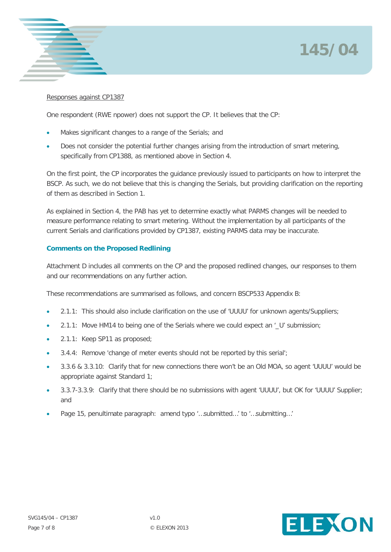



### Responses against CP1387

One respondent (RWE npower) does not support the CP. It believes that the CP:

- Makes significant changes to a range of the Serials; and
- Does not consider the potential further changes arising from the introduction of smart metering, specifically from CP1388, as mentioned above in Section 4.

On the first point, the CP incorporates the guidance previously issued to participants on how to interpret the BSCP. As such, we do not believe that this is changing the Serials, but providing clarification on the reporting of them as described in Section 1.

As explained in Section 4, the PAB has yet to determine exactly what PARMS changes will be needed to measure performance relating to smart metering. Without the implementation by all participants of the current Serials and clarifications provided by CP1387, existing PARMS data may be inaccurate.

# **Comments on the Proposed Redlining**

Attachment D includes all comments on the CP and the proposed redlined changes, our responses to them and our recommendations on any further action.

These recommendations are summarised as follows, and concern BSCP533 Appendix B:

- 2.1.1: This should also include clarification on the use of 'UUUU' for unknown agents/Suppliers;
- 2.1.1: Move HM14 to being one of the Serials where we could expect an '\_U' submission;
- 2.1.1: Keep SP11 as proposed;
- 3.4.4: Remove 'change of meter events should not be reported by this serial';
- 3.3.6 & 3.3.10: Clarify that for new connections there won't be an Old MOA, so agent 'UUUU' would be appropriate against Standard 1;
- 3.3.7-3.3.9: Clarify that there should be no submissions with agent 'UUUU', but OK for 'UUUU' Supplier; and
- Page 15, penultimate paragraph: amend typo '…submitted…' to '…submitting…'